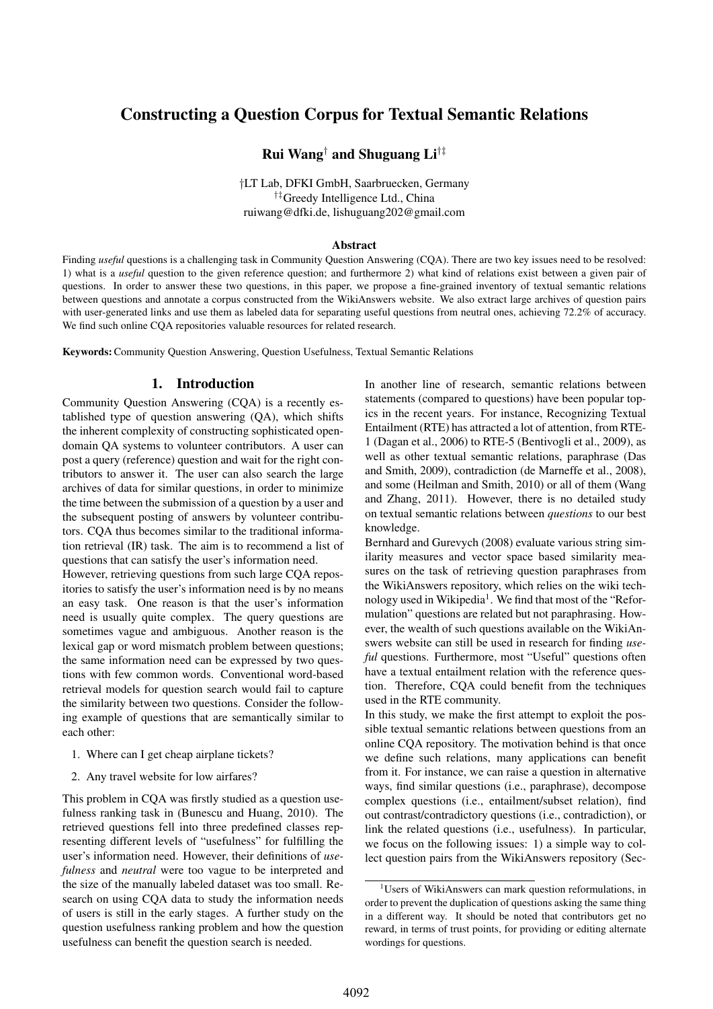# Constructing a Question Corpus for Textual Semantic Relations

## Rui Wang† and Shuguang Li†‡

†LT Lab, DFKI GmbH, Saarbruecken, Germany †‡Greedy Intelligence Ltd., China ruiwang@dfki.de, lishuguang202@gmail.com

#### Abstract

Finding *useful* questions is a challenging task in Community Question Answering (CQA). There are two key issues need to be resolved: 1) what is a *useful* question to the given reference question; and furthermore 2) what kind of relations exist between a given pair of questions. In order to answer these two questions, in this paper, we propose a fine-grained inventory of textual semantic relations between questions and annotate a corpus constructed from the WikiAnswers website. We also extract large archives of question pairs with user-generated links and use them as labeled data for separating useful questions from neutral ones, achieving 72.2% of accuracy. We find such online CQA repositories valuable resources for related research.

Keywords:Community Question Answering, Question Usefulness, Textual Semantic Relations

#### 1. Introduction

Community Question Answering (CQA) is a recently established type of question answering (QA), which shifts the inherent complexity of constructing sophisticated opendomain QA systems to volunteer contributors. A user can post a query (reference) question and wait for the right contributors to answer it. The user can also search the large archives of data for similar questions, in order to minimize the time between the submission of a question by a user and the subsequent posting of answers by volunteer contributors. CQA thus becomes similar to the traditional information retrieval (IR) task. The aim is to recommend a list of questions that can satisfy the user's information need.

However, retrieving questions from such large CQA repositories to satisfy the user's information need is by no means an easy task. One reason is that the user's information need is usually quite complex. The query questions are sometimes vague and ambiguous. Another reason is the lexical gap or word mismatch problem between questions; the same information need can be expressed by two questions with few common words. Conventional word-based retrieval models for question search would fail to capture the similarity between two questions. Consider the following example of questions that are semantically similar to each other:

- 1. Where can I get cheap airplane tickets?
- 2. Any travel website for low airfares?

This problem in CQA was firstly studied as a question usefulness ranking task in (Bunescu and Huang, 2010). The retrieved questions fell into three predefined classes representing different levels of "usefulness" for fulfilling the user's information need. However, their definitions of *usefulness* and *neutral* were too vague to be interpreted and the size of the manually labeled dataset was too small. Research on using CQA data to study the information needs of users is still in the early stages. A further study on the question usefulness ranking problem and how the question usefulness can benefit the question search is needed.

In another line of research, semantic relations between statements (compared to questions) have been popular topics in the recent years. For instance, Recognizing Textual Entailment (RTE) has attracted a lot of attention, from RTE-1 (Dagan et al., 2006) to RTE-5 (Bentivogli et al., 2009), as well as other textual semantic relations, paraphrase (Das and Smith, 2009), contradiction (de Marneffe et al., 2008), and some (Heilman and Smith, 2010) or all of them (Wang and Zhang, 2011). However, there is no detailed study on textual semantic relations between *questions* to our best knowledge.

Bernhard and Gurevych (2008) evaluate various string similarity measures and vector space based similarity measures on the task of retrieving question paraphrases from the WikiAnswers repository, which relies on the wiki technology used in Wikipedia<sup>1</sup>. We find that most of the "Reformulation" questions are related but not paraphrasing. However, the wealth of such questions available on the WikiAnswers website can still be used in research for finding *useful* questions. Furthermore, most "Useful" questions often have a textual entailment relation with the reference question. Therefore, CQA could benefit from the techniques used in the RTE community.

In this study, we make the first attempt to exploit the possible textual semantic relations between questions from an online CQA repository. The motivation behind is that once we define such relations, many applications can benefit from it. For instance, we can raise a question in alternative ways, find similar questions (i.e., paraphrase), decompose complex questions (i.e., entailment/subset relation), find out contrast/contradictory questions (i.e., contradiction), or link the related questions (i.e., usefulness). In particular, we focus on the following issues: 1) a simple way to collect question pairs from the WikiAnswers repository (Sec-

<sup>&</sup>lt;sup>1</sup>Users of WikiAnswers can mark question reformulations, in order to prevent the duplication of questions asking the same thing in a different way. It should be noted that contributors get no reward, in terms of trust points, for providing or editing alternate wordings for questions.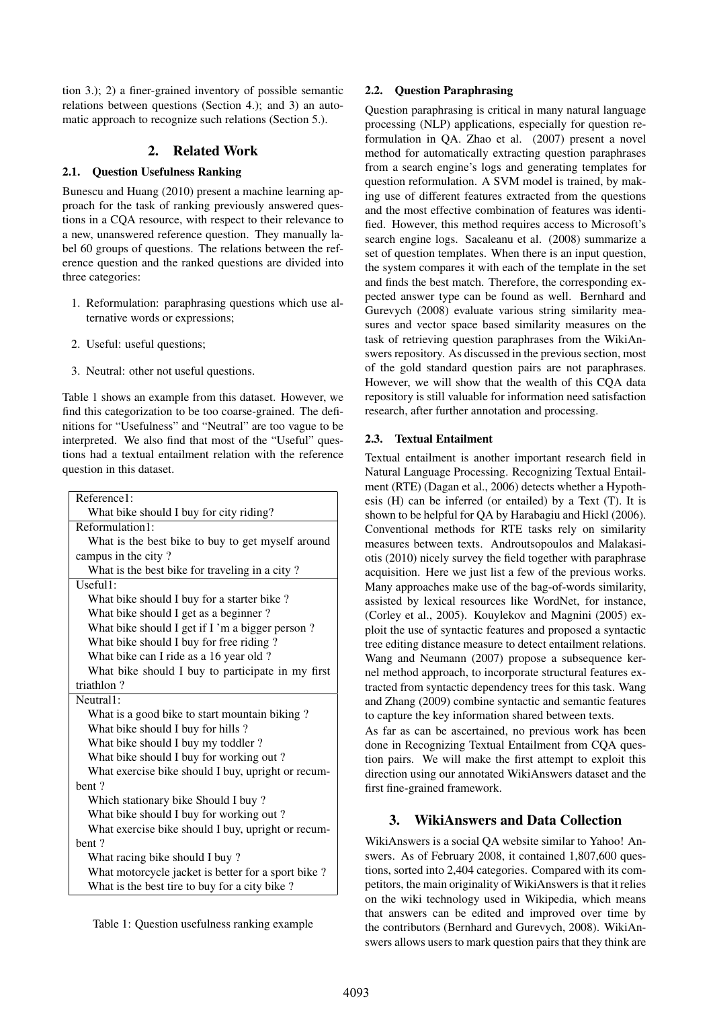tion 3.); 2) a finer-grained inventory of possible semantic relations between questions (Section 4.); and 3) an automatic approach to recognize such relations (Section 5.).

### 2. Related Work

#### 2.1. Question Usefulness Ranking

Bunescu and Huang (2010) present a machine learning approach for the task of ranking previously answered questions in a CQA resource, with respect to their relevance to a new, unanswered reference question. They manually label 60 groups of questions. The relations between the reference question and the ranked questions are divided into three categories:

- 1. Reformulation: paraphrasing questions which use alternative words or expressions;
- 2. Useful: useful questions;
- 3. Neutral: other not useful questions.

Table 1 shows an example from this dataset. However, we find this categorization to be too coarse-grained. The definitions for "Usefulness" and "Neutral" are too vague to be interpreted. We also find that most of the "Useful" questions had a textual entailment relation with the reference question in this dataset.

| Reference1:                                        |  |  |
|----------------------------------------------------|--|--|
| What bike should I buy for city riding?            |  |  |
| Reformulation1:                                    |  |  |
| What is the best bike to buy to get myself around  |  |  |
| campus in the city?                                |  |  |
| What is the best bike for traveling in a city?     |  |  |
| Useful1:                                           |  |  |
| What bike should I buy for a starter bike?         |  |  |
| What bike should I get as a beginner?              |  |  |
| What bike should I get if I'm a bigger person?     |  |  |
| What bike should I buy for free riding?            |  |  |
| What bike can I ride as a 16 year old?             |  |  |
| What bike should I buy to participate in my first  |  |  |
| triathlon?                                         |  |  |
| Neutral1:                                          |  |  |
| What is a good bike to start mountain biking?      |  |  |
| What bike should I buy for hills?                  |  |  |
| What bike should I buy my toddler?                 |  |  |
| What bike should I buy for working out?            |  |  |
| What exercise bike should I buy, upright or recum- |  |  |
| hent?                                              |  |  |
| Which stationary bike Should I buy?                |  |  |
| What bike should I buy for working out?            |  |  |
| What exercise bike should I buy, upright or recum- |  |  |
| bent?                                              |  |  |
| What racing bike should I buy?                     |  |  |
| What motorcycle jacket is better for a sport bike? |  |  |
| What is the best tire to buy for a city bike?      |  |  |

Table 1: Question usefulness ranking example

### 2.2. Question Paraphrasing

Question paraphrasing is critical in many natural language processing (NLP) applications, especially for question reformulation in QA. Zhao et al. (2007) present a novel method for automatically extracting question paraphrases from a search engine's logs and generating templates for question reformulation. A SVM model is trained, by making use of different features extracted from the questions and the most effective combination of features was identified. However, this method requires access to Microsoft's search engine logs. Sacaleanu et al. (2008) summarize a set of question templates. When there is an input question, the system compares it with each of the template in the set and finds the best match. Therefore, the corresponding expected answer type can be found as well. Bernhard and Gurevych (2008) evaluate various string similarity measures and vector space based similarity measures on the task of retrieving question paraphrases from the WikiAnswers repository. As discussed in the previous section, most of the gold standard question pairs are not paraphrases. However, we will show that the wealth of this CQA data repository is still valuable for information need satisfaction research, after further annotation and processing.

### 2.3. Textual Entailment

Textual entailment is another important research field in Natural Language Processing. Recognizing Textual Entailment (RTE) (Dagan et al., 2006) detects whether a Hypothesis (H) can be inferred (or entailed) by a Text (T). It is shown to be helpful for QA by Harabagiu and Hickl (2006). Conventional methods for RTE tasks rely on similarity measures between texts. Androutsopoulos and Malakasiotis (2010) nicely survey the field together with paraphrase acquisition. Here we just list a few of the previous works. Many approaches make use of the bag-of-words similarity, assisted by lexical resources like WordNet, for instance, (Corley et al., 2005). Kouylekov and Magnini (2005) exploit the use of syntactic features and proposed a syntactic tree editing distance measure to detect entailment relations. Wang and Neumann (2007) propose a subsequence kernel method approach, to incorporate structural features extracted from syntactic dependency trees for this task. Wang and Zhang (2009) combine syntactic and semantic features to capture the key information shared between texts.

As far as can be ascertained, no previous work has been done in Recognizing Textual Entailment from CQA question pairs. We will make the first attempt to exploit this direction using our annotated WikiAnswers dataset and the first fine-grained framework.

## 3. WikiAnswers and Data Collection

WikiAnswers is a social QA website similar to Yahoo! Answers. As of February 2008, it contained 1,807,600 questions, sorted into 2,404 categories. Compared with its competitors, the main originality of WikiAnswers is that it relies on the wiki technology used in Wikipedia, which means that answers can be edited and improved over time by the contributors (Bernhard and Gurevych, 2008). WikiAnswers allows users to mark question pairs that they think are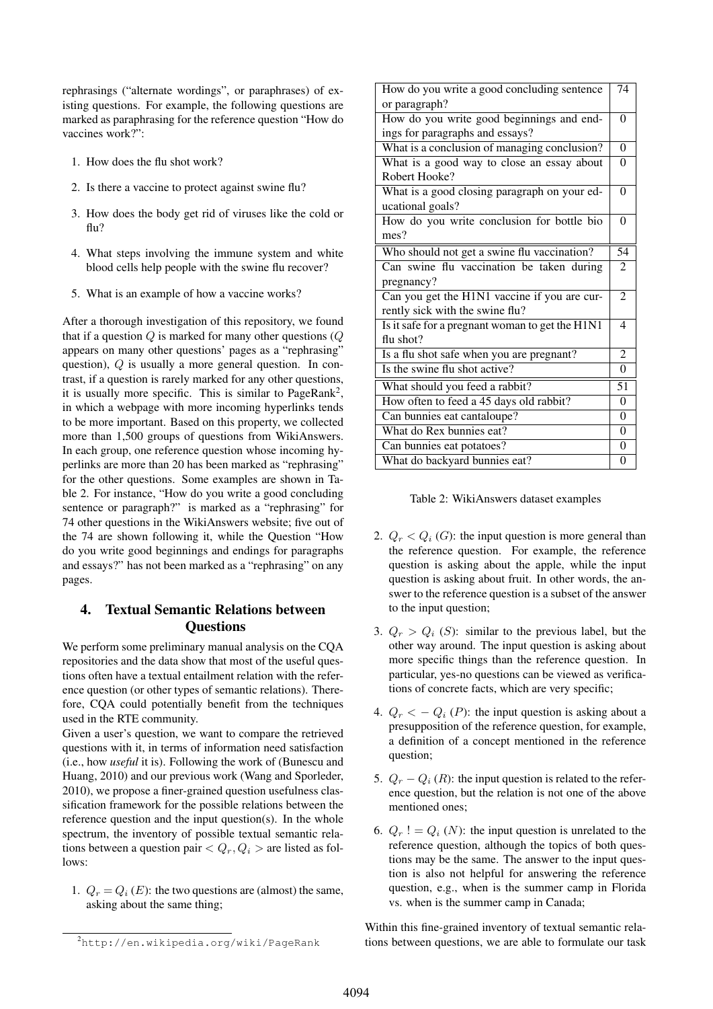rephrasings ("alternate wordings", or paraphrases) of existing questions. For example, the following questions are marked as paraphrasing for the reference question "How do vaccines work?":

- 1. How does the flu shot work?
- 2. Is there a vaccine to protect against swine flu?
- 3. How does the body get rid of viruses like the cold or flu?
- 4. What steps involving the immune system and white blood cells help people with the swine flu recover?
- 5. What is an example of how a vaccine works?

After a thorough investigation of this repository, we found that if a question  $Q$  is marked for many other questions ( $Q$ appears on many other questions' pages as a "rephrasing" question), Q is usually a more general question. In contrast, if a question is rarely marked for any other questions, it is usually more specific. This is similar to PageRank<sup>2</sup>, in which a webpage with more incoming hyperlinks tends to be more important. Based on this property, we collected more than 1,500 groups of questions from WikiAnswers. In each group, one reference question whose incoming hyperlinks are more than 20 has been marked as "rephrasing" for the other questions. Some examples are shown in Table 2. For instance, "How do you write a good concluding sentence or paragraph?" is marked as a "rephrasing" for 74 other questions in the WikiAnswers website; five out of the 74 are shown following it, while the Question "How do you write good beginnings and endings for paragraphs and essays?" has not been marked as a "rephrasing" on any pages.

## 4. Textual Semantic Relations between **Ouestions**

We perform some preliminary manual analysis on the CQA repositories and the data show that most of the useful questions often have a textual entailment relation with the reference question (or other types of semantic relations). Therefore, CQA could potentially benefit from the techniques used in the RTE community.

Given a user's question, we want to compare the retrieved questions with it, in terms of information need satisfaction (i.e., how *useful* it is). Following the work of (Bunescu and Huang, 2010) and our previous work (Wang and Sporleder, 2010), we propose a finer-grained question usefulness classification framework for the possible relations between the reference question and the input question(s). In the whole spectrum, the inventory of possible textual semantic relations between a question pair  $Q_r, Q_i$  > are listed as follows:

1.  $Q_r = Q_i$  (E): the two questions are (almost) the same, asking about the same thing;

| How do you write a good concluding sentence     | 74             |  |
|-------------------------------------------------|----------------|--|
| or paragraph?                                   |                |  |
| How do you write good beginnings and end-       |                |  |
| ings for paragraphs and essays?                 |                |  |
| What is a conclusion of managing conclusion?    |                |  |
| What is a good way to close an essay about      |                |  |
| Robert Hooke?                                   |                |  |
| What is a good closing paragraph on your ed-    |                |  |
| ucational goals?                                |                |  |
| How do you write conclusion for bottle bio      | $\theta$       |  |
| mes?                                            |                |  |
| Who should not get a swine flu vaccination?     | 54             |  |
| Can swine flu vaccination be taken during       |                |  |
| pregnancy?                                      |                |  |
| Can you get the H1N1 vaccine if you are cur-    | $\mathfrak{D}$ |  |
| rently sick with the swine flu?                 |                |  |
| Is it safe for a pregnant woman to get the H1N1 |                |  |
| flu shot?                                       |                |  |
| Is a flu shot safe when you are pregnant?       | 2              |  |
| Is the swine flu shot active?                   | $\theta$       |  |
| What should you feed a rabbit?                  |                |  |
| How often to feed a 45 days old rabbit?         |                |  |
| Can bunnies eat cantaloupe?                     |                |  |
| What do Rex bunnies eat?                        |                |  |
| Can bunnies eat potatoes?                       |                |  |
| What do backyard bunnies eat?                   |                |  |

Table 2: WikiAnswers dataset examples

- 2.  $Q_r < Q_i$  (G): the input question is more general than the reference question. For example, the reference question is asking about the apple, while the input question is asking about fruit. In other words, the answer to the reference question is a subset of the answer to the input question;
- 3.  $Q_r > Q_i$  (S): similar to the previous label, but the other way around. The input question is asking about more specific things than the reference question. In particular, yes-no questions can be viewed as verifications of concrete facts, which are very specific;
- 4.  $Q_r < -Q_i$  (P): the input question is asking about a presupposition of the reference question, for example, a definition of a concept mentioned in the reference question;
- 5.  $Q_r Q_i$  (R): the input question is related to the reference question, but the relation is not one of the above mentioned ones;
- 6.  $Q_r$  ! =  $Q_i$  (N): the input question is unrelated to the reference question, although the topics of both questions may be the same. The answer to the input question is also not helpful for answering the reference question, e.g., when is the summer camp in Florida vs. when is the summer camp in Canada;

Within this fine-grained inventory of textual semantic relations between questions, we are able to formulate our task

<sup>2</sup>http://en.wikipedia.org/wiki/PageRank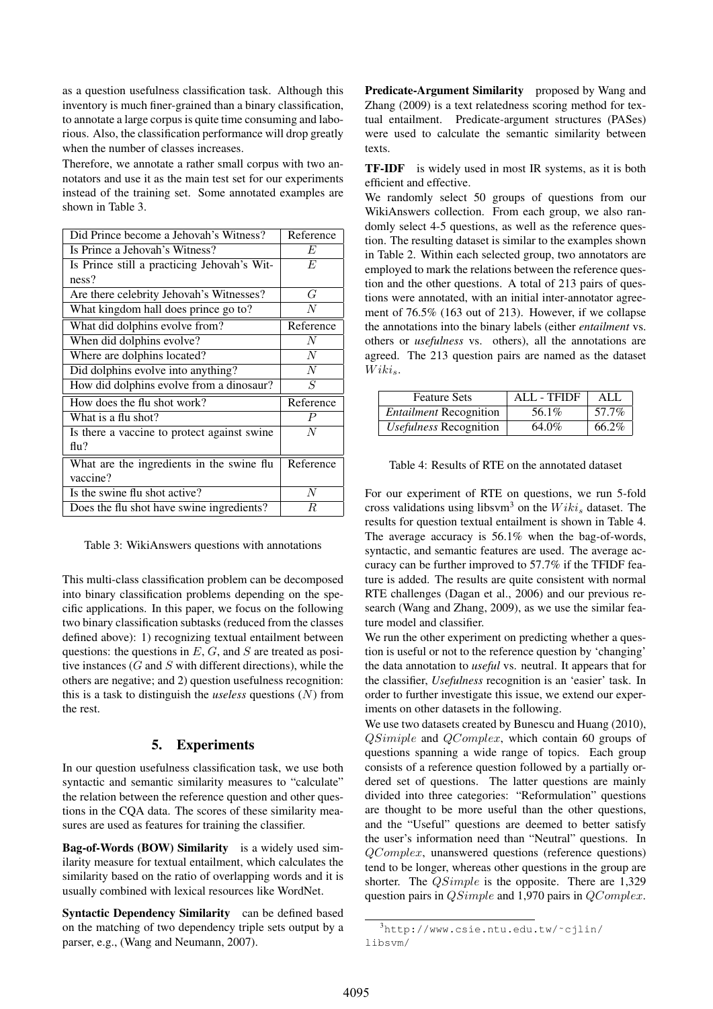as a question usefulness classification task. Although this inventory is much finer-grained than a binary classification, to annotate a large corpus is quite time consuming and laborious. Also, the classification performance will drop greatly when the number of classes increases.

Therefore, we annotate a rather small corpus with two annotators and use it as the main test set for our experiments instead of the training set. Some annotated examples are shown in Table 3.

| Did Prince become a Jehovah's Witness?      | Reference        |
|---------------------------------------------|------------------|
| Is Prince a Jehovah's Witness?              | E                |
| Is Prince still a practicing Jehovah's Wit- | E                |
| ness?                                       |                  |
| Are there celebrity Jehovah's Witnesses?    | G                |
| What kingdom hall does prince go to?        | N                |
| What did dolphins evolve from?              | Reference        |
| When did dolphins evolve?                   | $\overline{N}$   |
| Where are dolphins located?                 | $\overline{N}$   |
| Did dolphins evolve into anything?          | $\overline{N}$   |
| How did dolphins evolve from a dinosaur?    | S                |
| How does the flu shot work?                 | Reference        |
| What is a flu shot?                         | $\boldsymbol{P}$ |
| Is there a vaccine to protect against swine | N                |
| $\text{flu?}$                               |                  |
| What are the ingredients in the swine flu   | Reference        |
| vaccine?                                    |                  |
| Is the swine flu shot active?               | $\overline{N}$   |
| Does the flu shot have swine ingredients?   | R                |

Table 3: WikiAnswers questions with annotations

This multi-class classification problem can be decomposed into binary classification problems depending on the specific applications. In this paper, we focus on the following two binary classification subtasks (reduced from the classes defined above): 1) recognizing textual entailment between questions: the questions in  $E$ ,  $G$ , and  $S$  are treated as positive instances  $(G \text{ and } S \text{ with different directions})$ , while the others are negative; and 2) question usefulness recognition: this is a task to distinguish the *useless* questions (N) from the rest.

## 5. Experiments

In our question usefulness classification task, we use both syntactic and semantic similarity measures to "calculate" the relation between the reference question and other questions in the CQA data. The scores of these similarity measures are used as features for training the classifier.

Bag-of-Words (BOW) Similarity is a widely used similarity measure for textual entailment, which calculates the similarity based on the ratio of overlapping words and it is usually combined with lexical resources like WordNet.

Syntactic Dependency Similarity can be defined based on the matching of two dependency triple sets output by a parser, e.g., (Wang and Neumann, 2007).

Predicate-Argument Similarity proposed by Wang and Zhang (2009) is a text relatedness scoring method for textual entailment. Predicate-argument structures (PASes) were used to calculate the semantic similarity between texts.

TF-IDF is widely used in most IR systems, as it is both efficient and effective.

We randomly select 50 groups of questions from our WikiAnswers collection. From each group, we also randomly select 4-5 questions, as well as the reference question. The resulting dataset is similar to the examples shown in Table 2. Within each selected group, two annotators are employed to mark the relations between the reference question and the other questions. A total of 213 pairs of questions were annotated, with an initial inter-annotator agreement of 76.5% (163 out of 213). However, if we collapse the annotations into the binary labels (either *entailment* vs. others or *usefulness* vs. others), all the annotations are agreed. The 213 question pairs are named as the dataset  $Wiki_s$ .

| <b>Feature Sets</b>           | <b>ALL - TFIDF</b> | ALL   |
|-------------------------------|--------------------|-------|
| <b>Entailment Recognition</b> | 56.1%              | 57.7% |
| <i>Usefulness</i> Recognition | 64.0%              | 66.2% |

| Table 4: Results of RTE on the annotated dataset |  |
|--------------------------------------------------|--|
|--------------------------------------------------|--|

For our experiment of RTE on questions, we run 5-fold cross validations using libsvm<sup>3</sup> on the  $Wiki<sub>s</sub>$  dataset. The results for question textual entailment is shown in Table 4. The average accuracy is 56.1% when the bag-of-words, syntactic, and semantic features are used. The average accuracy can be further improved to 57.7% if the TFIDF feature is added. The results are quite consistent with normal RTE challenges (Dagan et al., 2006) and our previous research (Wang and Zhang, 2009), as we use the similar feature model and classifier.

We run the other experiment on predicting whether a question is useful or not to the reference question by 'changing' the data annotation to *useful* vs. neutral. It appears that for the classifier, *Usefulness* recognition is an 'easier' task. In order to further investigate this issue, we extend our experiments on other datasets in the following.

We use two datasets created by Bunescu and Huang (2010), QSimiple and QComplex, which contain 60 groups of questions spanning a wide range of topics. Each group consists of a reference question followed by a partially ordered set of questions. The latter questions are mainly divided into three categories: "Reformulation" questions are thought to be more useful than the other questions, and the "Useful" questions are deemed to better satisfy the user's information need than "Neutral" questions. In QComplex, unanswered questions (reference questions) tend to be longer, whereas other questions in the group are shorter. The QSimple is the opposite. There are 1,329 question pairs in  $QSimple$  and 1,970 pairs in  $QComplex$ .

<sup>3</sup>http://www.csie.ntu.edu.tw/˜cjlin/ libsvm/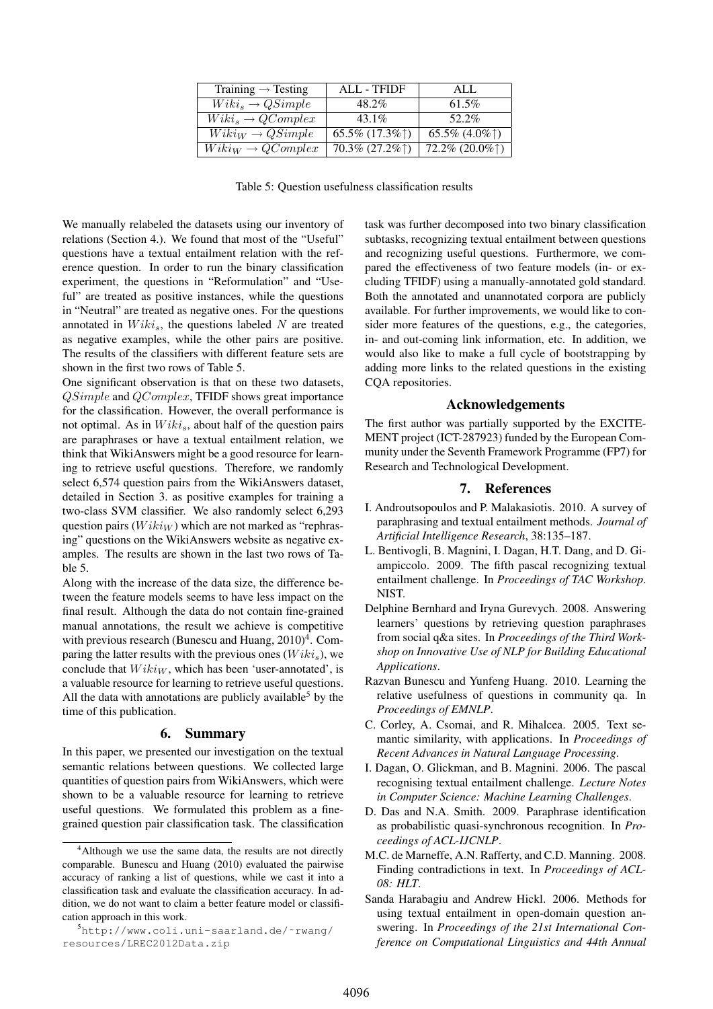| Training $\rightarrow$ Testing | <b>ALL - TFIDF</b>  | ALL               |
|--------------------------------|---------------------|-------------------|
| $Wiki_s \rightarrow QSimple$   | 48.2%               | 61.5%             |
| $Wiki_s \rightarrow QComplex$  | $43.1\%$            | $52.2\%$          |
| $Wiki_W \rightarrow QSimple$   | $65.5\%$ $(17.3\%)$ | 65.5% $(4.0\%)$   |
| $Wiki_W \rightarrow QComplex$  | $70.3\% (27.2\%)$   | $72.2\% (20.0\%)$ |

Table 5: Question usefulness classification results

We manually relabeled the datasets using our inventory of relations (Section 4.). We found that most of the "Useful" questions have a textual entailment relation with the reference question. In order to run the binary classification experiment, the questions in "Reformulation" and "Useful" are treated as positive instances, while the questions in "Neutral" are treated as negative ones. For the questions annotated in  $Wiki<sub>s</sub>$ , the questions labeled N are treated as negative examples, while the other pairs are positive. The results of the classifiers with different feature sets are shown in the first two rows of Table 5.

One significant observation is that on these two datasets, QSimple and QComplex, TFIDF shows great importance for the classification. However, the overall performance is not optimal. As in  $Wiki_s$ , about half of the question pairs are paraphrases or have a textual entailment relation, we think that WikiAnswers might be a good resource for learning to retrieve useful questions. Therefore, we randomly select 6,574 question pairs from the WikiAnswers dataset, detailed in Section 3. as positive examples for training a two-class SVM classifier. We also randomly select 6,293 question pairs  $(W i k i_W)$  which are not marked as "rephrasing" questions on the WikiAnswers website as negative examples. The results are shown in the last two rows of Table 5.

Along with the increase of the data size, the difference between the feature models seems to have less impact on the final result. Although the data do not contain fine-grained manual annotations, the result we achieve is competitive with previous research (Bunescu and Huang,  $2010$ <sup>4</sup>. Comparing the latter results with the previous ones  $(Wiki_s)$ , we conclude that  $W i k i_W$ , which has been 'user-annotated', is a valuable resource for learning to retrieve useful questions. All the data with annotations are publicly available<sup>5</sup> by the time of this publication.

#### 6. Summary

In this paper, we presented our investigation on the textual semantic relations between questions. We collected large quantities of question pairs from WikiAnswers, which were shown to be a valuable resource for learning to retrieve useful questions. We formulated this problem as a finegrained question pair classification task. The classification task was further decomposed into two binary classification subtasks, recognizing textual entailment between questions and recognizing useful questions. Furthermore, we compared the effectiveness of two feature models (in- or excluding TFIDF) using a manually-annotated gold standard. Both the annotated and unannotated corpora are publicly available. For further improvements, we would like to consider more features of the questions, e.g., the categories, in- and out-coming link information, etc. In addition, we would also like to make a full cycle of bootstrapping by adding more links to the related questions in the existing CQA repositories.

#### Acknowledgements

The first author was partially supported by the EXCITE-MENT project (ICT-287923) funded by the European Community under the Seventh Framework Programme (FP7) for Research and Technological Development.

#### 7. References

- I. Androutsopoulos and P. Malakasiotis. 2010. A survey of paraphrasing and textual entailment methods. *Journal of Artificial Intelligence Research*, 38:135–187.
- L. Bentivogli, B. Magnini, I. Dagan, H.T. Dang, and D. Giampiccolo. 2009. The fifth pascal recognizing textual entailment challenge. In *Proceedings of TAC Workshop*. NIST.
- Delphine Bernhard and Iryna Gurevych. 2008. Answering learners' questions by retrieving question paraphrases from social q&a sites. In *Proceedings of the Third Workshop on Innovative Use of NLP for Building Educational Applications*.
- Razvan Bunescu and Yunfeng Huang. 2010. Learning the relative usefulness of questions in community qa. In *Proceedings of EMNLP*.
- C. Corley, A. Csomai, and R. Mihalcea. 2005. Text semantic similarity, with applications. In *Proceedings of Recent Advances in Natural Language Processing*.
- I. Dagan, O. Glickman, and B. Magnini. 2006. The pascal recognising textual entailment challenge. *Lecture Notes in Computer Science: Machine Learning Challenges*.
- D. Das and N.A. Smith. 2009. Paraphrase identification as probabilistic quasi-synchronous recognition. In *Proceedings of ACL-IJCNLP*.
- M.C. de Marneffe, A.N. Rafferty, and C.D. Manning. 2008. Finding contradictions in text. In *Proceedings of ACL-08: HLT*.
- Sanda Harabagiu and Andrew Hickl. 2006. Methods for using textual entailment in open-domain question answering. In *Proceedings of the 21st International Conference on Computational Linguistics and 44th Annual*

<sup>&</sup>lt;sup>4</sup>Although we use the same data, the results are not directly comparable. Bunescu and Huang (2010) evaluated the pairwise accuracy of ranking a list of questions, while we cast it into a classification task and evaluate the classification accuracy. In addition, we do not want to claim a better feature model or classification approach in this work.

<sup>5</sup>http://www.coli.uni-saarland.de/˜rwang/ resources/LREC2012Data.zip